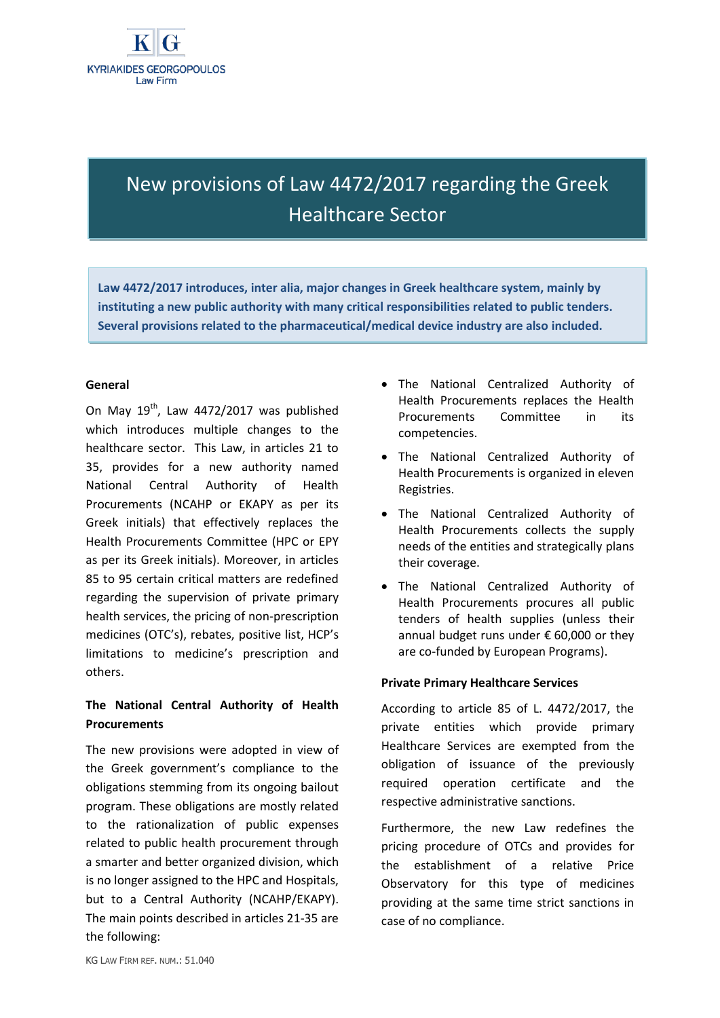# New provisions of Law 4472/2017 regarding the Greek Healthcare Sector

**Law 4472/2017 introduces, inter alia, major changes in Greek healthcare system, mainly by instituting a new public authority with many critical responsibilities related to public tenders. Several provisions related to the pharmaceutical/medical device industry are also included.**

## **General**

On May  $19^{th}$ , Law 4472/2017 was published which introduces multiple changes to the healthcare sector. This Law, in articles 21 to 35, provides for a new authority named National Central Authority of Health Procurements (NCAHP or EKAPY as per its Greek initials) that effectively replaces the Health Procurements Committee (HPC or EPY as per its Greek initials). Moreover, in articles 85 to 95 certain critical matters are redefined regarding the supervision of private primary health services, the pricing of non-prescription medicines (OTC's), rebates, positive list, HCP's limitations to medicine's prescription and others.

## **The National Central Authority of Health Procurements**

The new provisions were adopted in view of the Greek government's compliance to the obligations stemming from its ongoing bailout program. These obligations are mostly related to the rationalization of public expenses related to public health procurement through a smarter and better organized division, which is no longer assigned to the HPC and Hospitals, but to a Central Authority (NCAHP/EKAPY). The main points described in articles 21-35 are the following:

- The National Centralized Authority of Health Procurements replaces the Health Procurements Committee in its competencies.
- The National Centralized Authority of Health Procurements is organized in eleven Registries.
- The National Centralized Authority of Health Procurements collects the supply needs of the entities and strategically plans their coverage.
- The National Centralized Authority of Health Procurements procures all public tenders of health supplies (unless their annual budget runs under € 60,000 or they are co-funded by European Programs).

## **Private Primary Healthcare Services**

According to article 85 of L. 4472/2017, the private entities which provide primary Healthcare Services are exempted from the obligation of issuance of the previously required operation certificate and the respective administrative sanctions.

Furthermore, the new Law redefines the pricing procedure of OTCs and provides for the establishment of a relative Price Observatory for this type of medicines providing at the same time strict sanctions in case of no compliance.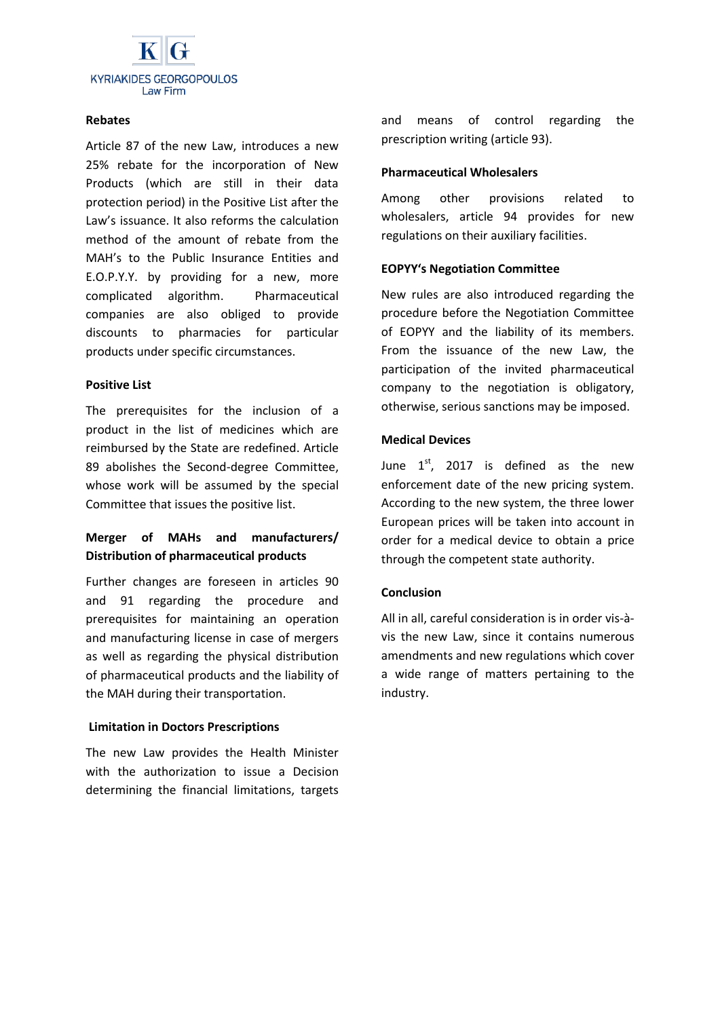

#### **Rebates**

Article 87 of the new Law, introduces a new 25% rebate for the incorporation of New Products (which are still in their data protection period) in the Positive List after the Law's issuance. It also reforms the calculation method of the amount of rebate from the MAH's to the Public Insurance Entities and E.O.P.Y.Y. by providing for a new, more complicated algorithm. Pharmaceutical companies are also obliged to provide discounts to pharmacies for particular products under specific circumstances.

#### **Positive List**

The prerequisites for the inclusion of a product in the list of medicines which are reimbursed by the State are redefined. Article 89 abolishes the Second-degree Committee, whose work will be assumed by the special Committee that issues the positive list.

# **Merger of MAHs and manufacturers/ Distribution of pharmaceutical products**

Further changes are foreseen in articles 90 and 91 regarding the procedure and prerequisites for maintaining an operation and manufacturing license in case of mergers as well as regarding the physical distribution of pharmaceutical products and the liability of the MAH during their transportation.

## **Limitation in Doctors Prescriptions**

The new Law provides the Health Minister with the authorization to issue a Decision determining the financial limitations, targets

and means of control regarding the prescription writing (article 93).

#### **Pharmaceutical Wholesalers**

Among other provisions related to wholesalers, article 94 provides for new regulations on their auxiliary facilities.

## **EOPYY's Negotiation Committee**

New rules are also introduced regarding the procedure before the Negotiation Committee of EOPYY and the liability of its members. From the issuance of the new Law, the participation of the invited pharmaceutical company to the negotiation is obligatory, otherwise, serious sanctions may be imposed.

## **Medical Devices**

June  $1^{st}$ , 2017 is defined as the new enforcement date of the new pricing system. According to the new system, the three lower European prices will be taken into account in order for a medical device to obtain a price through the competent state authority.

## **Conclusion**

All in all, careful consideration is in order vis-àvis the new Law, since it contains numerous amendments and new regulations which cover a wide range of matters pertaining to the industry.